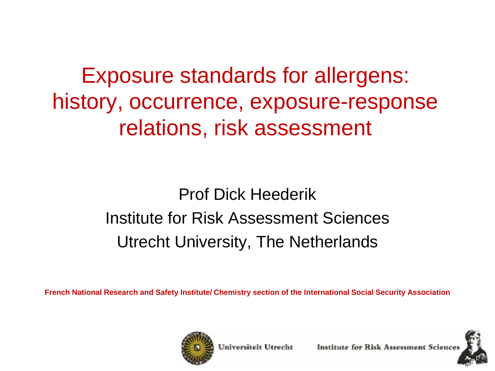Exposure standards for allergens: history, occurrence, exposure-response relations, risk assessment

> Prof Dick Heederik Institute for Risk Assessment Sciences Utrecht University, The Netherlands

**French National Research and Safety Institute/ Chemistry section of the International Social Security Association**



Universiteit Utrecht

Institute for Risk Assessment Sciene

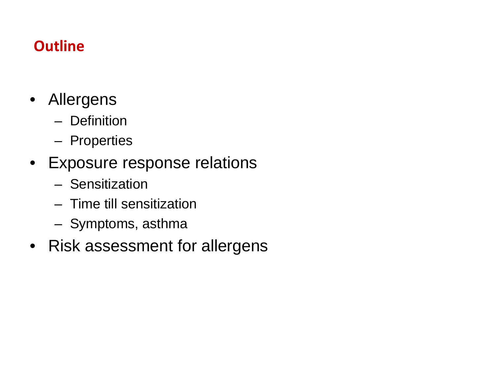#### **Outline**

- Allergens
	- Definition
	- Properties
- Exposure response relations
	- Sensitization
	- Time till sensitization
	- Symptoms, asthma
- Risk assessment for allergens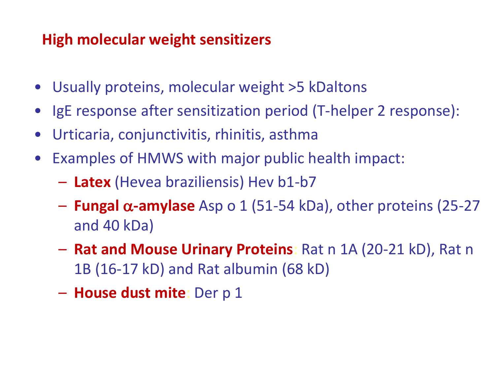#### **High molecular weight sensitizers**

- Usually proteins, molecular weight >5 kDaltons
- IgE response after sensitization period (T-helper 2 response):
- Urticaria, conjunctivitis, rhinitis, asthma
- Examples of HMWS with major public health impact:
	- **Latex** (Hevea braziliensis) Hev b1-b7
	- **Fungal** α**-amylase** Asp o 1 (51-54 kDa), other proteins (25-27 and 40 kDa)
	- **Rat and Mouse Urinary Proteins**: Rat n 1A (20-21 kD), Rat n 1B (16-17 kD) and Rat albumin (68 kD)
	- **House dust mite**: Der p 1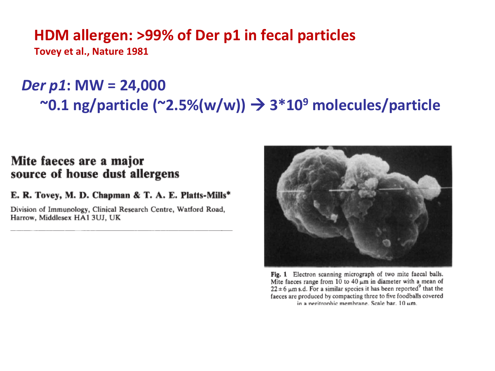#### **HDM allergen: >99% of Der p1 in fecal particles**

**Tovey et al., Nature 1981**

## *Der p1***: MW = 24,000 ~0.1 ng/particle (~2.5%(w/w)) 3\*109 molecules/particle**

#### Mite faeces are a major source of house dust allergens

E. R. Tovey, M. D. Chapman & T. A. E. Platts-Mills\*

Division of Immunology, Clinical Research Centre, Watford Road, Harrow, Middlesex HA1 3UJ, UK



Fig. 1 Electron scanning micrograph of two mite faecal balls. Mite faeces range from 10 to 40  $\mu$ m in diameter with a mean of  $22 \pm 6$  µm s.d. For a similar species it has been reported<sup>9</sup> that the faeces are produced by compacting three to five foodballs covered in a neritrophic membrane. Scale bar, 10 um.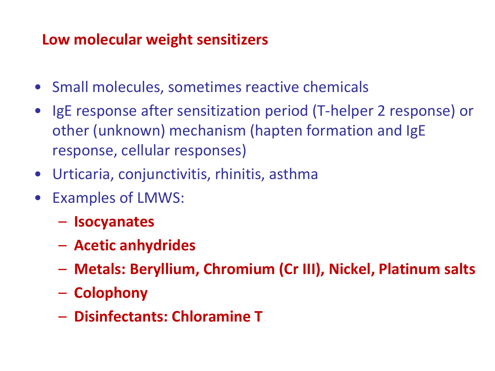### **Low molecular weight sensitizers**

- Small molecules, sometimes reactive chemicals
- IgE response after sensitization period (T-helper 2 response) or other (unknown) mechanism (hapten formation and IgE response, cellular responses)
- Urticaria, conjunctivitis, rhinitis, asthma
- Examples of LMWS:
	- **Isocyanates**
	- **Acetic anhydrides**
	- **Metals: Beryllium, Chromium (Cr III), Nickel, Platinum salts**
	- **Colophony**
	- **Disinfectants: Chloramine T**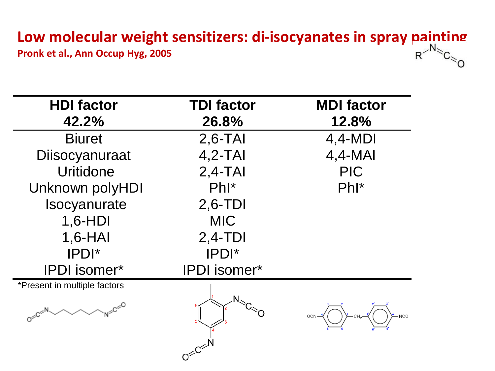# **Low molecular weight sensitizers: di-isocyanates in spray painting<br>Pronk et al., Ann Occup Hyg, 2005<br>Objects: di-isocyanates in spray painting R<sup>MS</sup>C<sub>SO</sub>**

**Pronk et al., Ann Occup Hyg, 2005**

| <b>HDI</b> factor            | <b>TDI factor</b>     | <b>MDI factor</b> |
|------------------------------|-----------------------|-------------------|
| 42.2%                        | 26.8%                 | 12.8%             |
| <b>Biuret</b>                | $2,6-TAI$             | $4,4-MDI$         |
| Diisocyanuraat               | $4,2-TAI$             | $4,4-MAl$         |
| Uritidone                    | $2,4-TAI$             | <b>PIC</b>        |
| Unknown polyHDI              | $Phl^*$               | $Phl^*$           |
| Isocyanurate                 | $2,6$ -TDI            |                   |
| 1,6-HDI                      | <b>MIC</b>            |                   |
| $1,6-HAI$                    | $2,4-TDI$             |                   |
| IPDI*                        | IPDI*                 |                   |
| <b>IPDI</b> isomer*          | <b>IPDI</b> isomer*   |                   |
| *Present in multiple factors |                       |                   |
| $c \leq 0$                   |                       |                   |
|                              | $O^{\leq C^{\leq h}}$ |                   |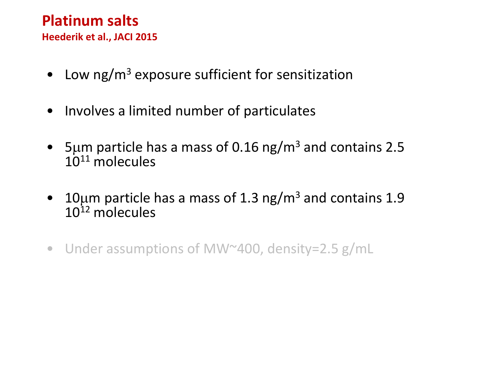## **Platinum salts**

**Heederik et al., JACI 2015**

- Low  $ng/m<sup>3</sup>$  exposure sufficient for sensitization
- Involves a limited number of particulates
- 5µm particle has a mass of 0.16 ng/m<sup>3</sup> and contains 2.5  $10^{11}$  molecules
- 10 $\mu$ m particle has a mass of 1.3 ng/m<sup>3</sup> and contains 1.9  $10^{12}$  molecules
- Under assumptions of MW~400, density=2.5 g/mL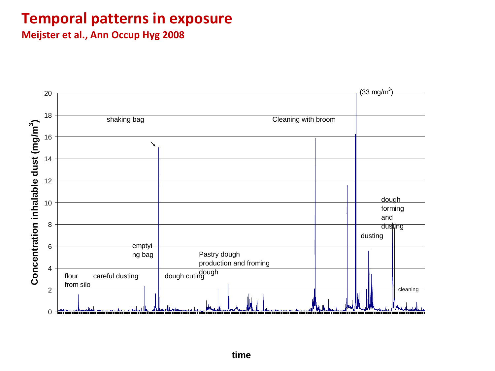#### **Temporal patterns in exposure**

**Meijster et al., Ann Occup Hyg 2008**

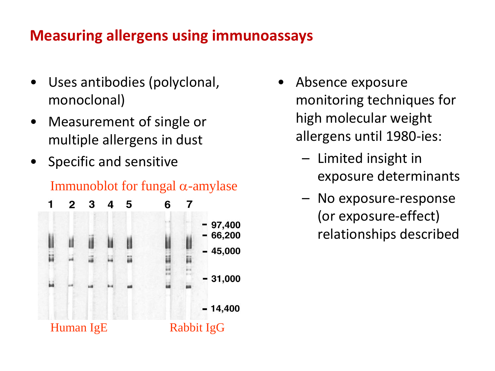#### **Measuring allergens using immunoassays**

- Uses antibodies (polyclonal, monoclonal)
- Measurement of single or multiple allergens in dust
- Specific and sensitive

#### Immunoblot for fungal  $\alpha$ -amylase



- Absence exposure monitoring techniques for high molecular weight allergens until 1980-ies:
	- Limited insight in exposure determinants
	- No exposure-response (or exposure-effect) relationships described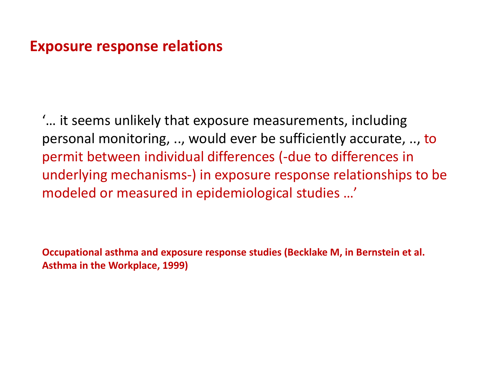#### **Exposure response relations**

'… it seems unlikely that exposure measurements, including personal monitoring, .., would ever be sufficiently accurate, .., to permit between individual differences (-due to differences in underlying mechanisms-) in exposure response relationships to be modeled or measured in epidemiological studies …'

**Occupational asthma and exposure response studies (Becklake M, in Bernstein et al. Asthma in the Workplace, 1999)**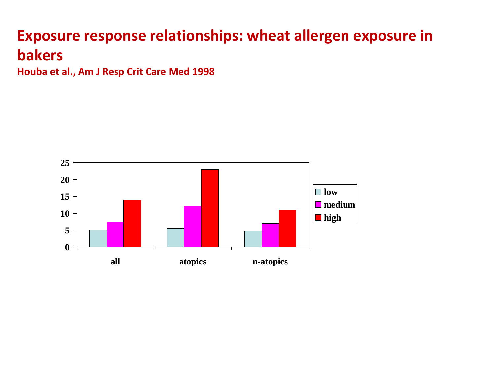## **Exposure response relationships: wheat allergen exposure in bakers**

**Houba et al., Am J Resp Crit Care Med 1998**

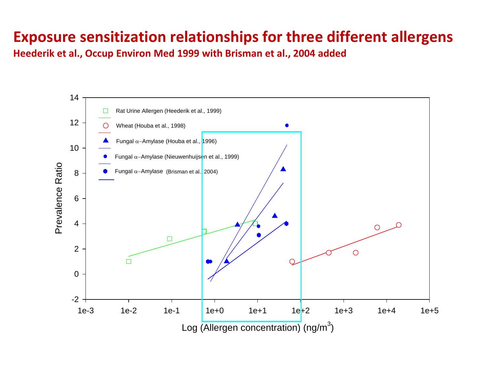#### **Exposure sensitization relationships for three different allergens**

**Heederik et al., Occup Environ Med 1999 with Brisman et al., 2004 added**

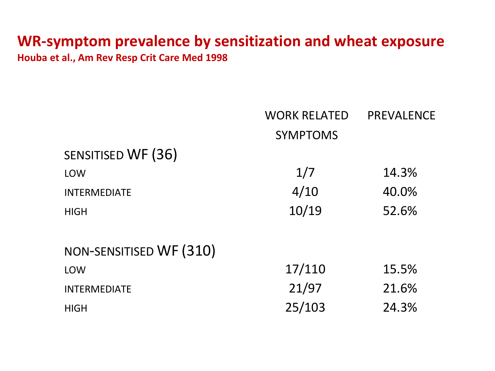#### **WR-symptom prevalence by sensitization and wheat exposure Houba et al., Am Rev Resp Crit Care Med 1998**

|                         | <b>WORK RELATED</b> | <b>PREVALENCE</b> |
|-------------------------|---------------------|-------------------|
|                         | <b>SYMPTOMS</b>     |                   |
| SENSITISED WF (36)      |                     |                   |
| <b>LOW</b>              | 1/7                 | 14.3%             |
| <b>INTERMEDIATE</b>     | 4/10                | 40.0%             |
| <b>HIGH</b>             | 10/19               | 52.6%             |
| NON-SENSITISED WF (310) |                     |                   |
| <b>LOW</b>              | 17/110              | 15.5%             |
| <b>INTERMEDIATE</b>     | 21/97               | 21.6%             |
| <b>HIGH</b>             | 25/103              | 24.3%             |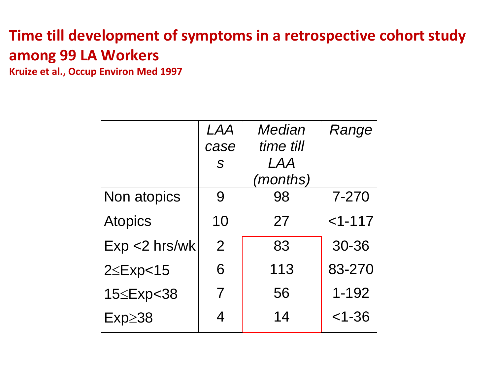### **Time till development of symptoms in a retrospective cohort study among 99 LA Workers**

**Kruize et al., Occup Environ Med 1997**

|                  | <i>LAA</i>     | Median    | Range      |
|------------------|----------------|-----------|------------|
|                  | case           | time till |            |
|                  | $\mathcal{S}$  | LAA       |            |
|                  |                | (months)  |            |
| Non atopics      | 9              | 98        | 7-270      |
| <b>Atopics</b>   | 10             | 27        | $<1 - 117$ |
| $Exp < 2$ hrs/wk | $\overline{2}$ | 83        | 30-36      |
| $2 \leq$ Exp<15  | 6              | 113       | 83-270     |
| 15≤Exp<38        | 7              | 56        | $1 - 192$  |
| $Exp \geq 38$    | 4              | 14        | $<$ 1-36   |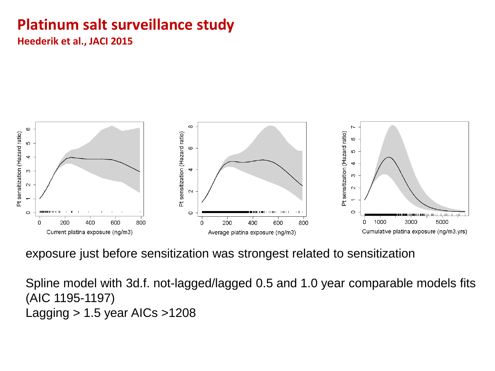## **Platinum salt surveillance study**

**Heederik et al., JACI 2015**



exposure just before sensitization was strongest related to sensitization

Spline model with 3d.f. not-lagged/lagged 0.5 and 1.0 year comparable models fits (AIC 1195-1197) Lagging > 1.5 year AICs >1208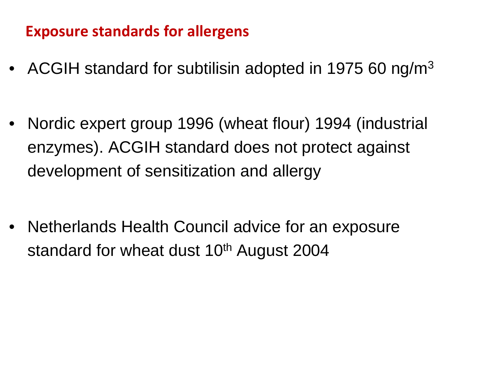#### **Exposure standards for allergens**

- ACGIH standard for subtilisin adopted in 1975 60 ng/m<sup>3</sup>
- Nordic expert group 1996 (wheat flour) 1994 (industrial enzymes). ACGIH standard does not protect against development of sensitization and allergy
- Netherlands Health Council advice for an exposure standard for wheat dust 10<sup>th</sup> August 2004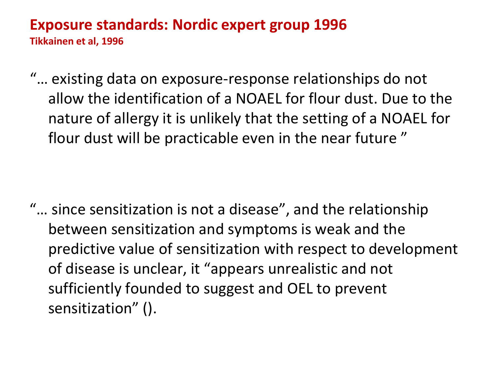## **Exposure standards: Nordic expert group 1996**

**Tikkainen et al, 1996**

"… existing data on exposure-response relationships do not allow the identification of a NOAEL for flour dust. Due to the nature of allergy it is unlikely that the setting of a NOAEL for flour dust will be practicable even in the near future "

"… since sensitization is not a disease", and the relationship between sensitization and symptoms is weak and the predictive value of sensitization with respect to development of disease is unclear, it "appears unrealistic and not sufficiently founded to suggest and OEL to prevent sensitization" ().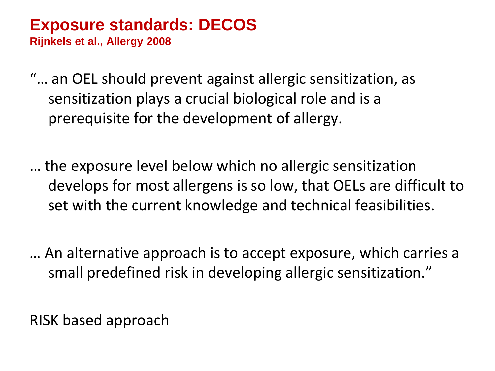# **Exposure standards: DECOS**

**Rijnkels et al., Allergy 2008**

- "… an OEL should prevent against allergic sensitization, as sensitization plays a crucial biological role and is a prerequisite for the development of allergy.
- … the exposure level below which no allergic sensitization develops for most allergens is so low, that OELs are difficult to set with the current knowledge and technical feasibilities.
- … An alternative approach is to accept exposure, which carries a small predefined risk in developing allergic sensitization."

RISK based approach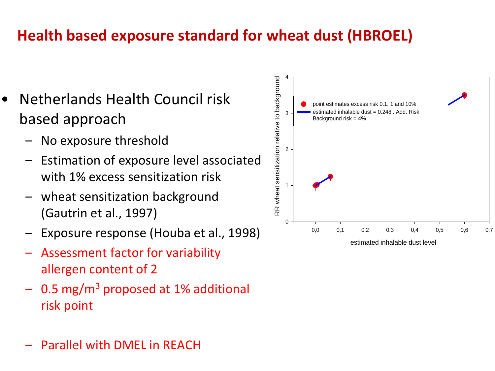## **Health based exposure standard for wheat dust (HBROEL)**

- Netherlands Health Council risk based approach
	- No exposure threshold
	- Estimation of exposure level associated with 1% excess sensitization risk
	- wheat sensitization background (Gautrin et al., 1997)
	- Exposure response (Houba et al., 1998)
	- Assessment factor for variability allergen content of 2
	- $-$  0.5 mg/m<sup>3</sup> proposed at 1% additional risk point



– Parallel with DMEL in REACH